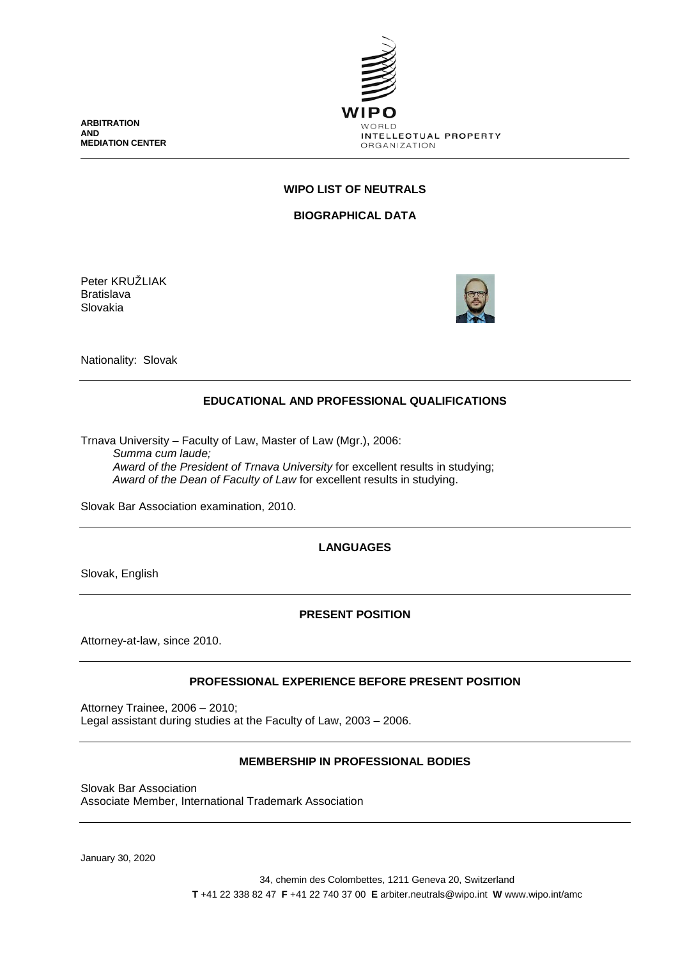**ARBITRATION AND MEDIATION CENTER**



# **WIPO LIST OF NEUTRALS**

**BIOGRAPHICAL DATA**

Peter KRUŽLIAK Bratislava Slovakia



Nationality: Slovak

## **EDUCATIONAL AND PROFESSIONAL QUALIFICATIONS**

Trnava University – Faculty of Law, Master of Law (Mgr.), 2006: *Summa cum laude; Award of the President of Trnava University* for excellent results in studying; *Award of the Dean of Faculty of Law* for excellent results in studying.

Slovak Bar Association examination, 2010.

### **LANGUAGES**

Slovak, English

### **PRESENT POSITION**

Attorney-at-law, since 2010.

### **PROFESSIONAL EXPERIENCE BEFORE PRESENT POSITION**

Attorney Trainee, 2006 – 2010; Legal assistant during studies at the Faculty of Law, 2003 – 2006.

## **MEMBERSHIP IN PROFESSIONAL BODIES**

Slovak Bar Association Associate Member, International Trademark Association